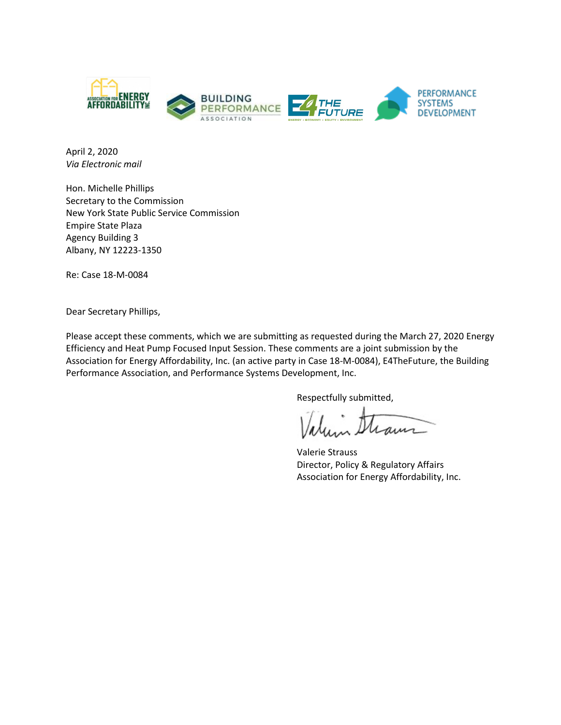

April 2, 2020 *Via Electronic mail*

Hon. Michelle Phillips Secretary to the Commission New York State Public Service Commission Empire State Plaza Agency Building 3 Albany, NY 12223‐1350

Re: Case 18-M-0084

Dear Secretary Phillips,

Please accept these comments, which we are submitting as requested during the March 27, 2020 Energy Efficiency and Heat Pump Focused Input Session. These comments are a joint submission by the Association for Energy Affordability, Inc. (an active party in Case 18-M-0084), E4TheFuture, the Building Performance Association, and Performance Systems Development, Inc.

Respectfully submitted,

alum Straun

Valerie Strauss Director, Policy & Regulatory Affairs Association for Energy Affordability, Inc.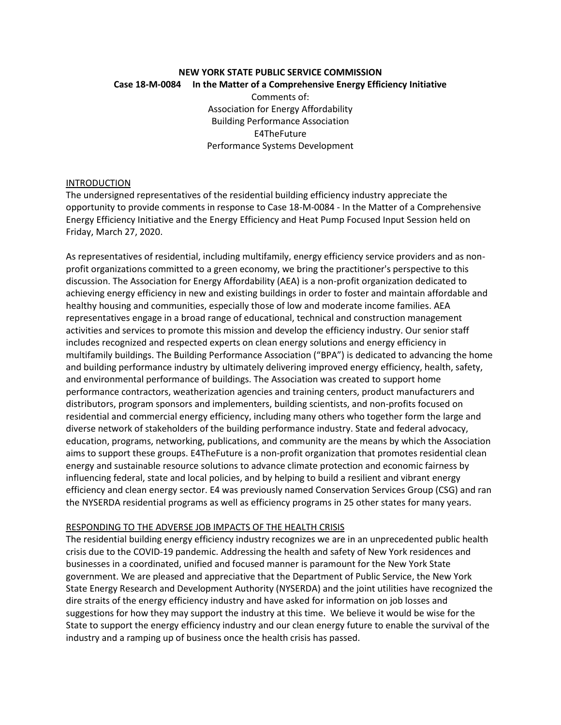## **NEW YORK STATE PUBLIC SERVICE COMMISSION Case 18-M-0084 In the Matter of a Comprehensive Energy Efficiency Initiative**

Comments of: Association for Energy Affordability Building Performance Association E4TheFuture Performance Systems Development

#### INTRODUCTION

The undersigned representatives of the residential building efficiency industry appreciate the opportunity to provide comments in response to Case 18-M-0084 - In the Matter of a Comprehensive Energy Efficiency Initiative and the Energy Efficiency and Heat Pump Focused Input Session held on Friday, March 27, 2020.

As representatives of residential, including multifamily, energy efficiency service providers and as nonprofit organizations committed to a green economy, we bring the practitioner's perspective to this discussion. The Association for Energy Affordability (AEA) is a non-profit organization dedicated to achieving energy efficiency in new and existing buildings in order to foster and maintain affordable and healthy housing and communities, especially those of low and moderate income families. AEA representatives engage in a broad range of educational, technical and construction management activities and services to promote this mission and develop the efficiency industry. Our senior staff includes recognized and respected experts on clean energy solutions and energy efficiency in multifamily buildings. The Building Performance Association ("BPA") is dedicated to advancing the home and building performance industry by ultimately delivering improved energy efficiency, health, safety, and environmental performance of buildings. The Association was created to support home performance contractors, weatherization agencies and training centers, product manufacturers and distributors, program sponsors and implementers, building scientists, and non-profits focused on residential and commercial energy efficiency, including many others who together form the large and diverse network of stakeholders of the building performance industry. State and federal advocacy, education, programs, networking, publications, and community are the means by which the Association aims to support these groups. E4TheFuture is a non-profit organization that promotes residential clean energy and sustainable resource solutions to advance climate protection and economic fairness by influencing federal, state and local policies, and by helping to build a resilient and vibrant energy efficiency and clean energy sector. E4 was previously named Conservation Services Group (CSG) and ran the NYSERDA residential programs as well as efficiency programs in 25 other states for many years.

## RESPONDING TO THE ADVERSE JOB IMPACTS OF THE HEALTH CRISIS

The residential building energy efficiency industry recognizes we are in an unprecedented public health crisis due to the COVID-19 pandemic. Addressing the health and safety of New York residences and businesses in a coordinated, unified and focused manner is paramount for the New York State government. We are pleased and appreciative that the Department of Public Service, the New York State Energy Research and Development Authority (NYSERDA) and the joint utilities have recognized the dire straits of the energy efficiency industry and have asked for information on job losses and suggestions for how they may support the industry at this time. We believe it would be wise for the State to support the energy efficiency industry and our clean energy future to enable the survival of the industry and a ramping up of business once the health crisis has passed.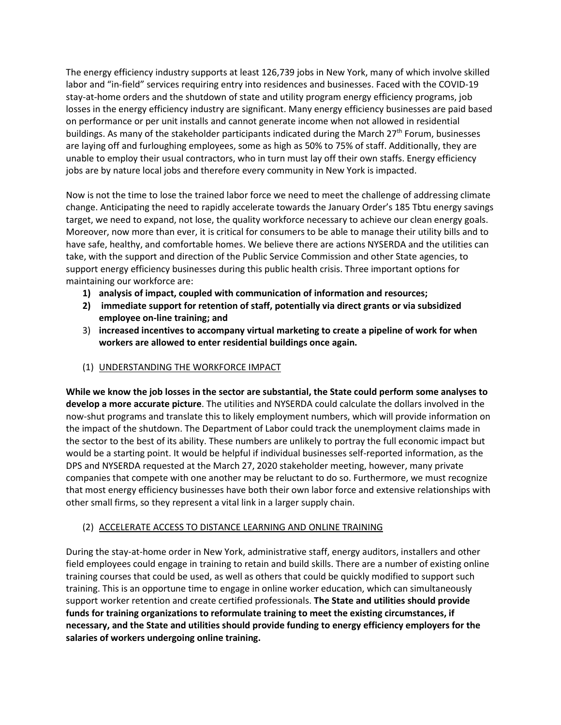The energy efficiency industry supports at least 126,739 jobs in New York, many of which involve skilled labor and "in-field" services requiring entry into residences and businesses. Faced with the COVID-19 stay-at-home orders and the shutdown of state and utility program energy efficiency programs, job losses in the energy efficiency industry are significant. Many energy efficiency businesses are paid based on performance or per unit installs and cannot generate income when not allowed in residential buildings. As many of the stakeholder participants indicated during the March 27<sup>th</sup> Forum, businesses are laying off and furloughing employees, some as high as 50% to 75% of staff. Additionally, they are unable to employ their usual contractors, who in turn must lay off their own staffs. Energy efficiency jobs are by nature local jobs and therefore every community in New York is impacted.

Now is not the time to lose the trained labor force we need to meet the challenge of addressing climate change. Anticipating the need to rapidly accelerate towards the January Order's 185 Tbtu energy savings target, we need to expand, not lose, the quality workforce necessary to achieve our clean energy goals. Moreover, now more than ever, it is critical for consumers to be able to manage their utility bills and to have safe, healthy, and comfortable homes. We believe there are actions NYSERDA and the utilities can take, with the support and direction of the Public Service Commission and other State agencies, to support energy efficiency businesses during this public health crisis. Three important options for maintaining our workforce are:

- **1) analysis of impact, coupled with communication of information and resources;**
- **2) immediate support for retention of staff, potentially via direct grants or via subsidized employee on-line training; and**
- 3) **increased incentives to accompany virtual marketing to create a pipeline of work for when workers are allowed to enter residential buildings once again.**
- (1) UNDERSTANDING THE WORKFORCE IMPACT

**While we know the job losses in the sector are substantial, the State could perform some analyses to develop a more accurate picture**. The utilities and NYSERDA could calculate the dollars involved in the now-shut programs and translate this to likely employment numbers, which will provide information on the impact of the shutdown. The Department of Labor could track the unemployment claims made in the sector to the best of its ability. These numbers are unlikely to portray the full economic impact but would be a starting point. It would be helpful if individual businesses self-reported information, as the DPS and NYSERDA requested at the March 27, 2020 stakeholder meeting, however, many private companies that compete with one another may be reluctant to do so. Furthermore, we must recognize that most energy efficiency businesses have both their own labor force and extensive relationships with other small firms, so they represent a vital link in a larger supply chain.

# (2) ACCELERATE ACCESS TO DISTANCE LEARNING AND ONLINE TRAINING

During the stay-at-home order in New York, administrative staff, energy auditors, installers and other field employees could engage in training to retain and build skills. There are a number of existing online training courses that could be used, as well as others that could be quickly modified to support such training. This is an opportune time to engage in online worker education, which can simultaneously support worker retention and create certified professionals. **The State and utilities should provide funds for training organizations to reformulate training to meet the existing circumstances, if necessary, and the State and utilities should provide funding to energy efficiency employers for the salaries of workers undergoing online training.**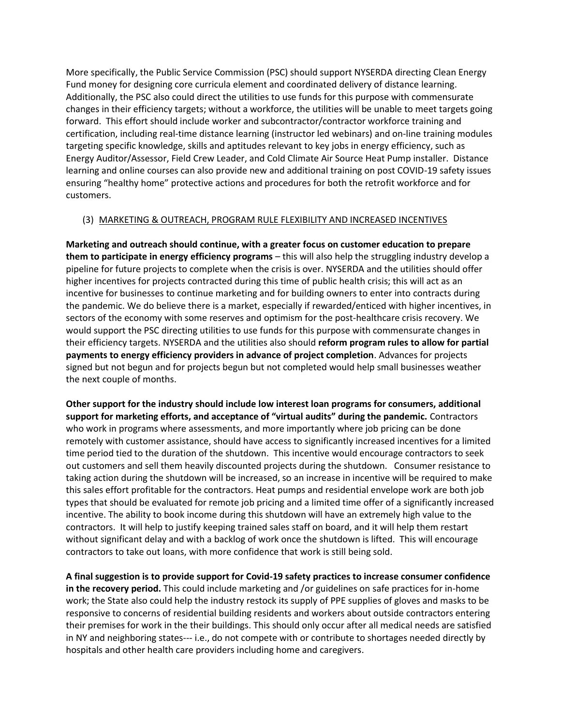More specifically, the Public Service Commission (PSC) should support NYSERDA directing Clean Energy Fund money for designing core curricula element and coordinated delivery of distance learning. Additionally, the PSC also could direct the utilities to use funds for this purpose with commensurate changes in their efficiency targets; without a workforce, the utilities will be unable to meet targets going forward. This effort should include worker and subcontractor/contractor workforce training and certification, including real-time distance learning (instructor led webinars) and on-line training modules targeting specific knowledge, skills and aptitudes relevant to key jobs in energy efficiency, such as Energy Auditor/Assessor, Field Crew Leader, and Cold Climate Air Source Heat Pump installer. Distance learning and online courses can also provide new and additional training on post COVID-19 safety issues ensuring "healthy home" protective actions and procedures for both the retrofit workforce and for customers.

#### (3) MARKETING & OUTREACH, PROGRAM RULE FLEXIBILITY AND INCREASED INCENTIVES

**Marketing and outreach should continue, with a greater focus on customer education to prepare them to participate in energy efficiency programs** – this will also help the struggling industry develop a pipeline for future projects to complete when the crisis is over. NYSERDA and the utilities should offer higher incentives for projects contracted during this time of public health crisis; this will act as an incentive for businesses to continue marketing and for building owners to enter into contracts during the pandemic. We do believe there is a market, especially if rewarded/enticed with higher incentives, in sectors of the economy with some reserves and optimism for the post-healthcare crisis recovery. We would support the PSC directing utilities to use funds for this purpose with commensurate changes in their efficiency targets. NYSERDA and the utilities also should **reform program rules to allow for partial payments to energy efficiency providers in advance of project completion**. Advances for projects signed but not begun and for projects begun but not completed would help small businesses weather the next couple of months.

**Other support for the industry should include low interest loan programs for consumers, additional support for marketing efforts, and acceptance of "virtual audits" during the pandemic.** Contractors who work in programs where assessments, and more importantly where job pricing can be done remotely with customer assistance, should have access to significantly increased incentives for a limited time period tied to the duration of the shutdown. This incentive would encourage contractors to seek out customers and sell them heavily discounted projects during the shutdown. Consumer resistance to taking action during the shutdown will be increased, so an increase in incentive will be required to make this sales effort profitable for the contractors. Heat pumps and residential envelope work are both job types that should be evaluated for remote job pricing and a limited time offer of a significantly increased incentive. The ability to book income during this shutdown will have an extremely high value to the contractors. It will help to justify keeping trained sales staff on board, and it will help them restart without significant delay and with a backlog of work once the shutdown is lifted. This will encourage contractors to take out loans, with more confidence that work is still being sold.

**A final suggestion is to provide support for Covid-19 safety practices to increase consumer confidence in the recovery period.** This could include marketing and /or guidelines on safe practices for in-home work; the State also could help the industry restock its supply of PPE supplies of gloves and masks to be responsive to concerns of residential building residents and workers about outside contractors entering their premises for work in the their buildings. This should only occur after all medical needs are satisfied in NY and neighboring states--- i.e., do not compete with or contribute to shortages needed directly by hospitals and other health care providers including home and caregivers.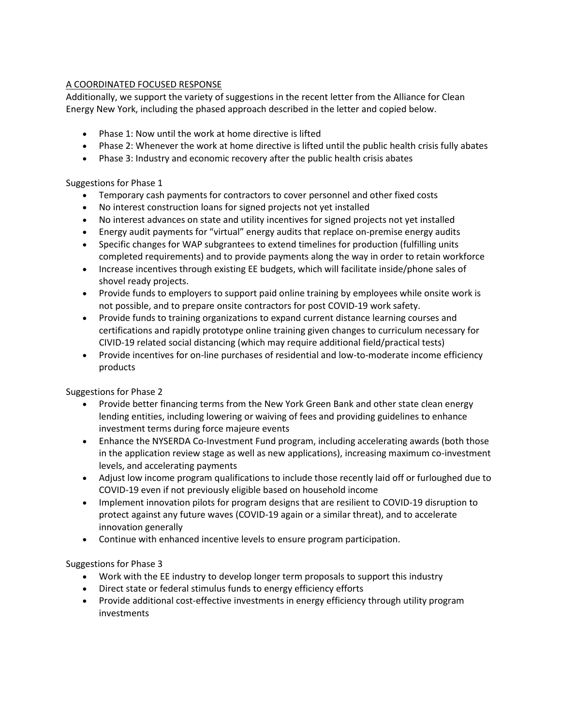# A COORDINATED FOCUSED RESPONSE

Additionally, we support the variety of suggestions in the recent letter from the Alliance for Clean Energy New York, including the phased approach described in the letter and copied below.

- Phase 1: Now until the work at home directive is lifted
- Phase 2: Whenever the work at home directive is lifted until the public health crisis fully abates
- Phase 3: Industry and economic recovery after the public health crisis abates

## Suggestions for Phase 1

- Temporary cash payments for contractors to cover personnel and other fixed costs
- No interest construction loans for signed projects not yet installed
- No interest advances on state and utility incentives for signed projects not yet installed
- Energy audit payments for "virtual" energy audits that replace on-premise energy audits
- Specific changes for WAP subgrantees to extend timelines for production (fulfilling units completed requirements) and to provide payments along the way in order to retain workforce
- Increase incentives through existing EE budgets, which will facilitate inside/phone sales of shovel ready projects.
- Provide funds to employers to support paid online training by employees while onsite work is not possible, and to prepare onsite contractors for post COVID-19 work safety.
- Provide funds to training organizations to expand current distance learning courses and certifications and rapidly prototype online training given changes to curriculum necessary for CIVID-19 related social distancing (which may require additional field/practical tests)
- Provide incentives for on-line purchases of residential and low-to-moderate income efficiency products

## Suggestions for Phase 2

- Provide better financing terms from the New York Green Bank and other state clean energy lending entities, including lowering or waiving of fees and providing guidelines to enhance investment terms during force majeure events
- Enhance the NYSERDA Co-Investment Fund program, including accelerating awards (both those in the application review stage as well as new applications), increasing maximum co-investment levels, and accelerating payments
- Adjust low income program qualifications to include those recently laid off or furloughed due to COVID-19 even if not previously eligible based on household income
- Implement innovation pilots for program designs that are resilient to COVID-19 disruption to protect against any future waves (COVID-19 again or a similar threat), and to accelerate innovation generally
- Continue with enhanced incentive levels to ensure program participation.

## Suggestions for Phase 3

- Work with the EE industry to develop longer term proposals to support this industry
- Direct state or federal stimulus funds to energy efficiency efforts
- Provide additional cost-effective investments in energy efficiency through utility program investments